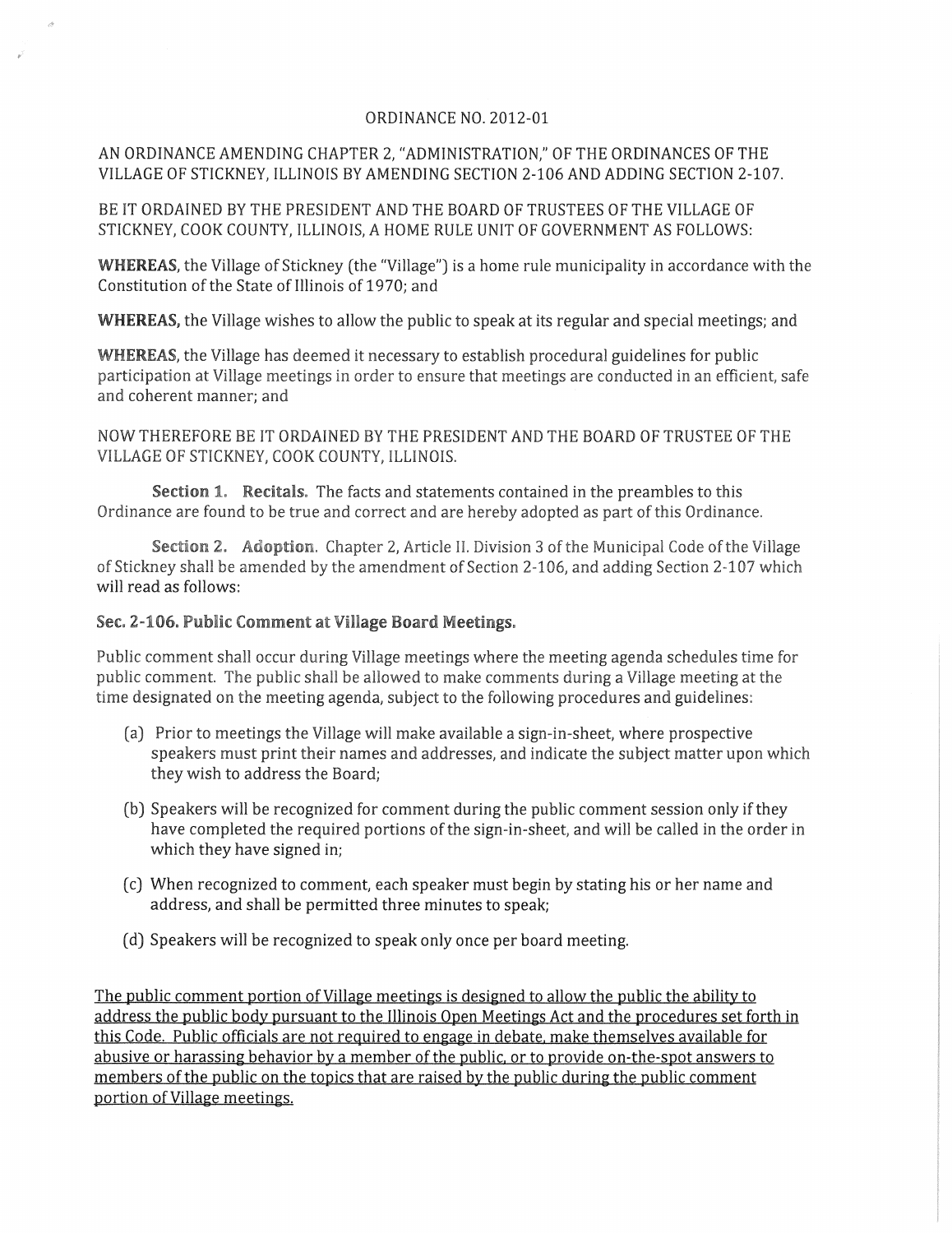## ORDINANCE NO. 2012-01

## AN ORDINANCE AMENDING CHAPTER 2, "ADMINISTRATION," OF THE ORDINANCES OF THE VILLAGE OF STICKNEY, ILLINOIS BY AMENDING SECTION 2-106 AND ADDING SECTION 2-107.

BE IT ORDAINED BY THE PRESIDENT AND THE BOARD OF TRUSTEES OF THE VILLAGE OF STICKNEY, COOK COUNTY, ILLINOIS, A HOME RULE UNIT OF GOVERNMENT AS FOLLOWS:

WHEREAS, the Village of Stickney (the "Village") is a home rule municipality in accordance with the Constitution of the State of Illinois of 1970; and

WHEREAS, the Village wishes to allow the public to speak at its regular and special meetings; and

WHEREAS, the Village has deemed it necessary to establish procedural guidelines for public participation at Village meetings in order to ensure that meetings are conducted in an efficient, safe and coherent manner; and

NOW THEREFORE BE IT ORDAINED BY THE PRESIDENT AND THE BOARD OF TRUSTEE OF THE VILLAGE OF STICKNEY, COOK COUNTY, ILLINOIS.

Section 1. Recitals. The facts and statements contained in the preambles to this Ordinance are found to be true and correct and are hereby adopted as part of this Ordinance.

Section 2. Adoption. Chapter 2, Article II. Division 3 of the Municipal Code of the Village of Stickney shall be amended by the amendment of Section 2-106, and adding Section 2-107 which will read as follows:

## Sec. 2-106. Public Comment at Village Board Meetings.

Public comment shall occur during Village meetings where the meeting agenda schedules time for public comment. The public shall be allowed to make comments during a Village meeting at the time designated on the meeting agenda, subject to the following procedures and guidelines:

- (a) Prior to meetings the Village will make available a sign-in-sheet, where prospective speakers must print their names and addresses, and indicate the subject matter upon which they wish to address the Board;
- (b) Speakers will be recognized for comment during the public comment session only if they have completed the required portions of the sign-in-sheet, and will be called in the order in which they have signed in;
- (c) When recognized to comment, each speaker must begin by stating his or her name and address, and shall be permitted three minutes to speak;
- (d) Speakers will be recognized to speak only once per board meeting.

The public comment portion of Village meetings is designed to allow the public the ability to address the public body pursuant to the Illinois Open Meetings Act and the procedures set forth in this Code. Public officials are not required to engage in debate. make themselves available for abusive or harassing behavior by a member of the public. or to provide on-the-spot answers to members of the public on the topics that are raised by the public during the public comment portion of Village meetings.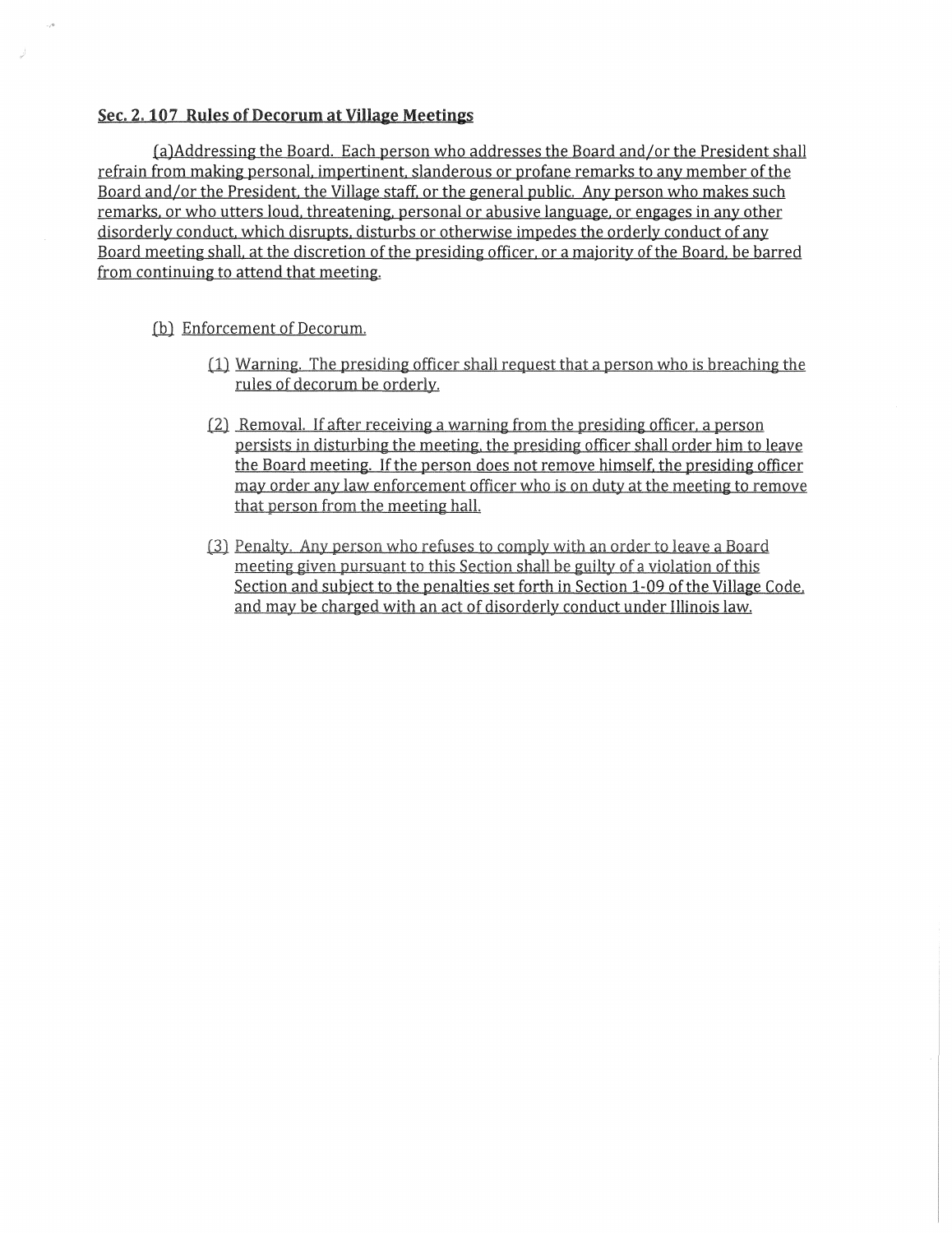## Sec. 2.107 Rules of Decorum at Village Meetings

[a)Addressing the Board. Each person who addresses the Board and/or the President shall refrain from making personal. impertinent. slanderous or profane remarks to any member of the Board and/or the President, the Village staff, or the general public. Any person who makes such remarks. or who utters loud. threatening. personal or abusive language. or engages in any other disorderly conduct. which disrupts, disturbs or otherwise impedes the orderly conduct of any Board meeting shall. at the discretion of the presiding officer. or a majority of the Board. be barred from continuing to attend that meeting.

- (b) Enforcement of Decorum.
	- $(1)$  Warning. The presiding officer shall request that a person who is breaching the rules of decorum be orderly.
	- $[2]$  Removal. If after receiving a warning from the presiding officer, a person persists in disturbing the meeting, the presiding officer shall order him to leave the Board meeting. If the person does not remove himself. the presiding officer may order any law enforcement officer who is on duty at the meeting to remove that person from the meeting halL
	- (3) Penalty, Any person who refuses to comply with an order to leave a Board meeting given pursuant to this Section shall be guilty of a violation of this Section and subject to the penalties set forth in Section 1-09 of the Village Code. and may be charged with an act of disorderly conduct under Illinois law.